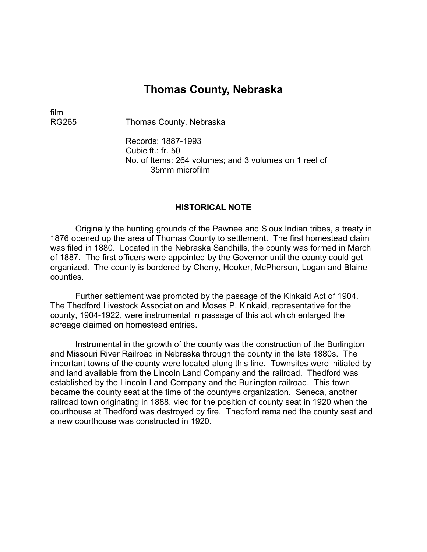# **Thomas County, Nebraska**

film

RG265 Thomas County, Nebraska

Records: 1887-1993 Cubic ft.: fr. 50 No. of Items: 264 volumes; and 3 volumes on 1 reel of 35mm microfilm

#### **HISTORICAL NOTE**

Originally the hunting grounds of the Pawnee and Sioux Indian tribes, a treaty in 1876 opened up the area of Thomas County to settlement. The first homestead claim was filed in 1880. Located in the Nebraska Sandhills, the county was formed in March of 1887. The first officers were appointed by the Governor until the county could get organized. The county is bordered by Cherry, Hooker, McPherson, Logan and Blaine counties.

Further settlement was promoted by the passage of the Kinkaid Act of 1904. The Thedford Livestock Association and Moses P. Kinkaid, representative for the county, 1904-1922, were instrumental in passage of this act which enlarged the acreage claimed on homestead entries.

Instrumental in the growth of the county was the construction of the Burlington and Missouri River Railroad in Nebraska through the county in the late 1880s. The important towns of the county were located along this line. Townsites were initiated by and land available from the Lincoln Land Company and the railroad. Thedford was established by the Lincoln Land Company and the Burlington railroad. This town became the county seat at the time of the county=s organization. Seneca, another railroad town originating in 1888, vied for the position of county seat in 1920 when the courthouse at Thedford was destroyed by fire. Thedford remained the county seat and a new courthouse was constructed in 1920.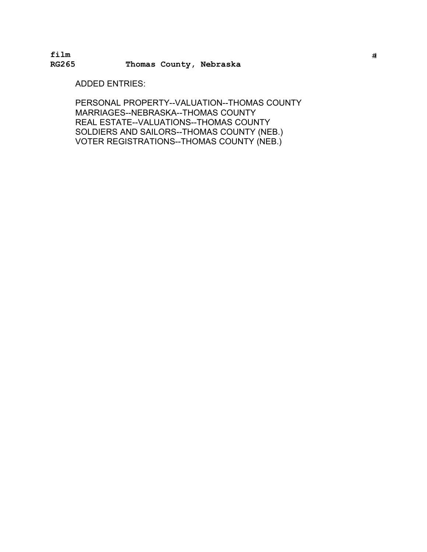**film** #i **RG265 Thomas County, Nebraska** 

ADDED ENTRIES:

PERSONAL PROPERTY--VALUATION--THOMAS COUNTY MARRIAGES--NEBRASKA--THOMAS COUNTY REAL ESTATE--VALUATIONS--THOMAS COUNTY SOLDIERS AND SAILORS--THOMAS COUNTY (NEB.) � VOTER REGISTRATIONS--THOMAS COUNTY (NEB.) �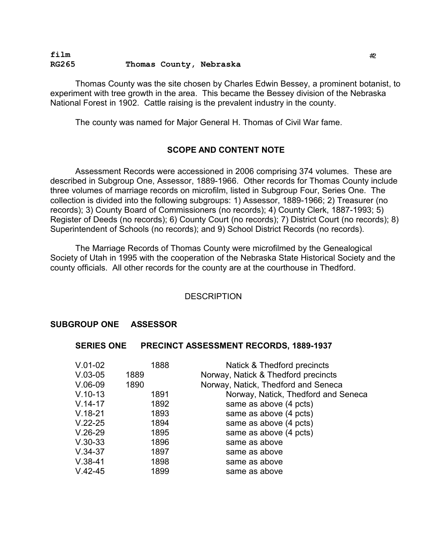### **film** #<sup>2</sup> **RG265 Thomas County, Nebraska**

Thomas County was the site chosen by Charles Edwin Bessey, a prominent botanist, to experiment with tree growth in the area. This became the Bessey division of the Nebraska National Forest in 1902. Cattle raising is the prevalent industry in the county.

The county was named for Major General H. Thomas of Civil War fame.

# **SCOPE AND CONTENT NOTE**

Assessment Records were accessioned in 2006 comprising 374 volumes. These are described in Subgroup One, Assessor, 1889-1966. Other records for Thomas County include three volumes of marriage records on microfilm, listed in Subgroup Four, Series One. The collection is divided into the following subgroups: 1) Assessor, 1889-1966; 2) Treasurer (no records); 3) County Board of Commissioners (no records); 4) County Clerk, 1887-1993; 5) Register of Deeds (no records); 6) County Court (no records); 7) District Court (no records); 8) Superintendent of Schools (no records); and 9) School District Records (no records).

The Marriage Records of Thomas County were microfilmed by the Genealogical Society of Utah in 1995 with the cooperation of the Nebraska State Historical Society and the county officials. All other records for the county are at the courthouse in Thedford.

### **DESCRIPTION**

### **SUBGROUP ONE ASSESSOR**

#### **SERIES ONE PRECINCT ASSESSMENT RECORDS, 1889-1937**

| $V.01-02$   | 1888 | Natick & Thedford precincts         |
|-------------|------|-------------------------------------|
| $V.03-05$   | 1889 | Norway, Natick & Thedford precincts |
| $V.06-09$   | 1890 | Norway, Natick, Thedford and Seneca |
| $V.10-13$   | 1891 | Norway, Natick, Thedford and Seneca |
| $V.14-17$   | 1892 | same as above (4 pcts)              |
| $V.18-21$   | 1893 | same as above (4 pcts)              |
| $V.22 - 25$ | 1894 | same as above (4 pcts)              |
| $V.26-29$   | 1895 | same as above (4 pcts)              |
| $V.30-33$   | 1896 | same as above                       |
| $V.34-37$   | 1897 | same as above                       |
| $V.38-41$   | 1898 | same as above                       |
| $V.42 - 45$ | 1899 | same as above                       |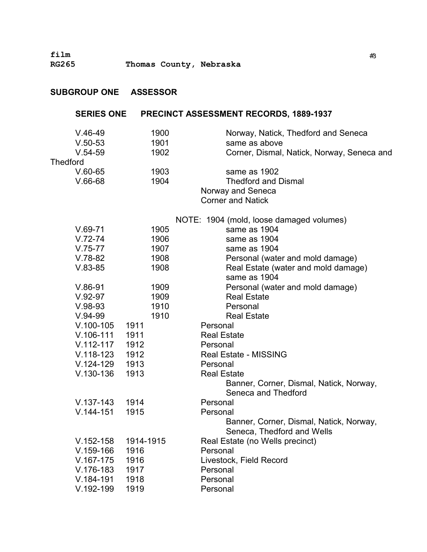| <b>SUBGROUP ONE</b> | <b>ASSESSOR</b> |                                                                       |
|---------------------|-----------------|-----------------------------------------------------------------------|
| <b>SERIES ONE</b>   |                 | <b>PRECINCT ASSESSMENT RECORDS, 1889-1937</b>                         |
| $V.46-49$           | 1900            | Norway, Natick, Thedford and Seneca                                   |
| $V.50-53$           | 1901            | same as above                                                         |
| $V.54-59$           | 1902            | Corner, Dismal, Natick, Norway, Seneca and                            |
| <b>Thedford</b>     |                 |                                                                       |
| $V.60-65$           | 1903            | same as 1902                                                          |
| $V.66-68$           | 1904            | <b>Thedford and Dismal</b>                                            |
|                     |                 | Norway and Seneca                                                     |
|                     |                 | <b>Corner and Natick</b>                                              |
|                     |                 | NOTE: 1904 (mold, loose damaged volumes)                              |
| $V.69-71$           | 1905            | same as 1904                                                          |
| $V.72-74$           | 1906            | same as 1904                                                          |
| $V.75-77$           | 1907            | same as 1904                                                          |
| $V.78-82$           | 1908            | Personal (water and mold damage)                                      |
| $V.83-85$           | 1908            | Real Estate (water and mold damage)<br>same as 1904                   |
| $V.86-91$           | 1909            | Personal (water and mold damage)                                      |
| $V.92-97$           | 1909            | <b>Real Estate</b>                                                    |
| $V.98-93$           | 1910            | Personal                                                              |
| $V.94-99$           | 1910            | <b>Real Estate</b>                                                    |
| $V.100-105$         | 1911            | Personal                                                              |
| $V.106-111$         | 1911            | <b>Real Estate</b>                                                    |
| $V.112 - 117$       | 1912            | Personal                                                              |
| V.118-123 1912      |                 | <b>Real Estate - MISSING</b>                                          |
| $V.124-129$         | 1913            | Personal                                                              |
| $V.130-136$         | 1913            | <b>Real Estate</b>                                                    |
|                     |                 | Banner, Corner, Dismal, Natick, Norway,                               |
|                     |                 | Seneca and Thedford                                                   |
| $V.137-143$         | 1914            | Personal                                                              |
| $V.144 - 151$       | 1915            | Personal                                                              |
|                     |                 | Banner, Corner, Dismal, Natick, Norway,<br>Seneca, Thedford and Wells |
| $V.152 - 158$       | 1914-1915       | Real Estate (no Wells precinct)                                       |
| $V.159-166$         | 1916            | Personal                                                              |
| $V.167-175$         | 1916            | Livestock, Field Record                                               |
| $V.176-183$         | 1917            | Personal                                                              |
| $V.184-191$         | 1918            | Personal                                                              |
| V.192-199           | 1919            | Personal                                                              |
|                     |                 |                                                                       |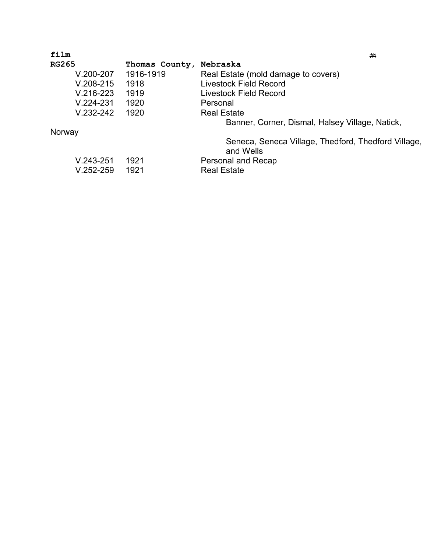| film          |                | #4                                                               |
|---------------|----------------|------------------------------------------------------------------|
| <b>RG265</b>  | Thomas County, | Nebraska                                                         |
| $V.200 - 207$ | 1916-1919      | Real Estate (mold damage to covers)                              |
| $V.208 - 215$ | 1918           | <b>Livestock Field Record</b>                                    |
| $V.216-223$   | 1919           | Livestock Field Record                                           |
| $V.224 - 231$ | 1920           | Personal                                                         |
| $V.232 - 242$ | 1920           | <b>Real Estate</b>                                               |
|               |                | Banner, Corner, Dismal, Halsey Village, Natick,                  |
| Norway        |                |                                                                  |
|               |                | Seneca, Seneca Village, Thedford, Thedford Village,<br>and Wells |
| $V.243 - 251$ | 1921           | Personal and Recap                                               |
| $V.252 - 259$ | 1921           | <b>Real Estate</b>                                               |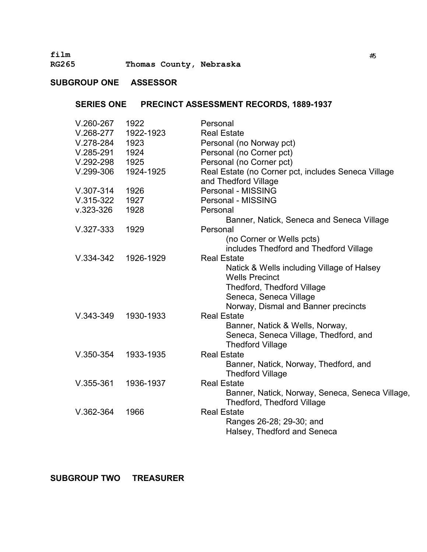**film** #<sup>5</sup>

**RG265 Thomas County, Nebraska** 

# **SUBGROUP ONE ASSESSOR**

# **SERIES ONE PRECINCT ASSESSMENT RECORDS, 1889-1937**

| $V.260-267$   | 1922      | Personal                                                                    |
|---------------|-----------|-----------------------------------------------------------------------------|
| $V.268-277$   | 1922-1923 | <b>Real Estate</b>                                                          |
| $V.278-284$   | 1923      | Personal (no Norway pct)                                                    |
| $V.285 - 291$ | 1924      | Personal (no Corner pct)                                                    |
| $V.292 - 298$ | 1925      | Personal (no Corner pct)                                                    |
| $V.299-306$   | 1924-1925 | Real Estate (no Corner pct, includes Seneca Village<br>and Thedford Village |
| $V.307 - 314$ | 1926      | Personal - MISSING                                                          |
| $V.315-322$   | 1927      | Personal - MISSING                                                          |
| $V.323 - 326$ | 1928      | Personal                                                                    |
|               |           | Banner, Natick, Seneca and Seneca Village                                   |
| $V.327-333$   | 1929      | Personal                                                                    |
|               |           | (no Corner or Wells pcts)                                                   |
|               |           | includes Thedford and Thedford Village                                      |
| $V.334-342$   | 1926-1929 | <b>Real Estate</b>                                                          |
|               |           | Natick & Wells including Village of Halsey                                  |
|               |           | <b>Wells Precinct</b>                                                       |
|               |           | Thedford, Thedford Village                                                  |
|               |           | Seneca, Seneca Village                                                      |
|               |           | Norway, Dismal and Banner precincts                                         |
| $V.343 - 349$ | 1930-1933 | <b>Real Estate</b>                                                          |
|               |           | Banner, Natick & Wells, Norway,                                             |
|               |           | Seneca, Seneca Village, Thedford, and                                       |
|               |           | <b>Thedford Village</b>                                                     |
| $V.350-354$   | 1933-1935 | <b>Real Estate</b>                                                          |
|               |           | Banner, Natick, Norway, Thedford, and<br><b>Thedford Village</b>            |
| $V.355 - 361$ | 1936-1937 | <b>Real Estate</b>                                                          |
|               |           | Banner, Natick, Norway, Seneca, Seneca Village,                             |
|               |           | Thedford, Thedford Village                                                  |
| $V.362-364$   | 1966      | <b>Real Estate</b>                                                          |
|               |           | Ranges 26-28; 29-30; and                                                    |
|               |           | Halsey, Thedford and Seneca                                                 |
|               |           |                                                                             |

**SUBGROUP TWO TREASURER**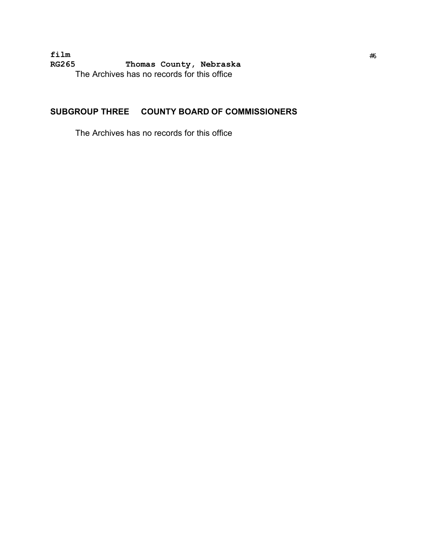**film** #<sup>6</sup> **RG265 Thomas County, Nebraska** The Archives has no records for this office

# **SUBGROUP THREE COUNTY BOARD OF COMMISSIONERS**

The Archives has no records for this office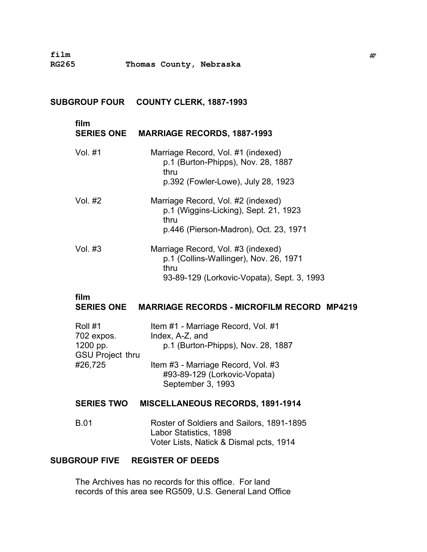## **SUBGROUP FOUR COUNTY CLERK, 1887-1993**

| film    | SERIES ONE MARRIAGE RECORDS, 1887-1993                                                                                             |
|---------|------------------------------------------------------------------------------------------------------------------------------------|
| Vol. #1 | Marriage Record, Vol. #1 (indexed)<br>p.1 (Burton-Phipps), Nov. 28, 1887<br>thru<br>p.392 (Fowler-Lowe), July 28, 1923             |
| Vol. #2 | Marriage Record, Vol. #2 (indexed)<br>p.1 (Wiggins-Licking), Sept. 21, 1923<br>thru<br>p.446 (Pierson-Madron), Oct. 23, 1971       |
| Vol. #3 | Marriage Record, Vol. #3 (indexed)<br>p.1 (Collins-Wallinger), Nov. 26, 1971<br>thru<br>93-89-129 (Lorkovic-Vopata), Sept. 3, 1993 |
| film    | SERIES ONE MARRIAGE RECORDS - MICROFILM RECORD MP4219                                                                              |
|         | الملا الملا الموجود حاجر ويسوارا الملا مورما                                                                                       |

| Roll #1                 | Item #1 - Marriage Record, Vol. #1 |
|-------------------------|------------------------------------|
| 702 expos.              | Index, A-Z, and                    |
| 1200 pp.                | p.1 (Burton-Phipps), Nov. 28, 1887 |
| <b>GSU Project thru</b> |                                    |
| #26,725                 | Item #3 - Marriage Record, Vol. #3 |
|                         | #93-89-129 (Lorkovic-Vopata)       |
|                         | September 3, 1993                  |
|                         |                                    |

# **SERIES TWO MISCELLANEOUS RECORDS, 1891-1914**

B.01 Roster of Soldiers and Sailors, 1891-1895 Labor Statistics, 1898 Voter Lists, Natick & Dismal pcts, 1914

# **SUBGROUP FIVE REGISTER OF DEEDS**

The Archives has no records for this office. For land records of this area see RG509, U.S. General Land Office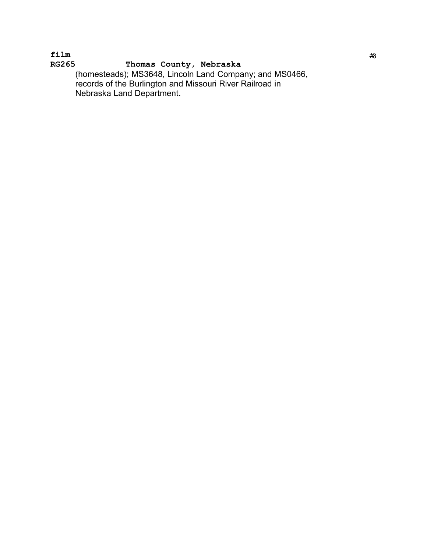**film** #<sup>8</sup> **RG265 Thomas County, Nebraska** (homesteads); MS3648, Lincoln Land Company; and MS0466, � records of the Burlington and Missouri River Railroad in � Nebraska Land Department.